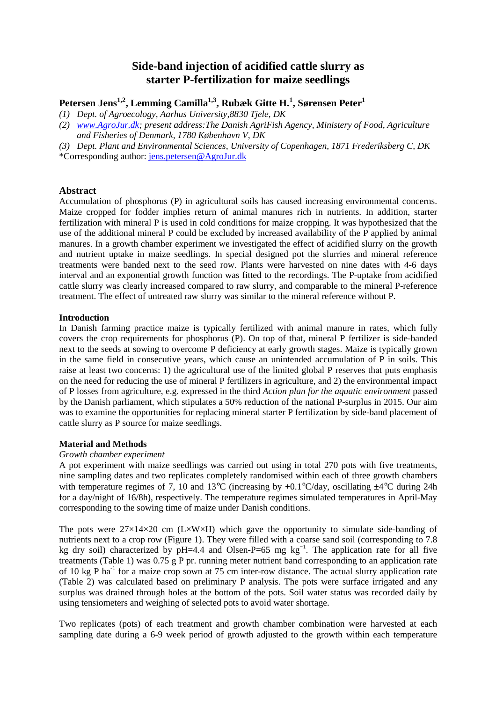# **Side-band injection of acidified cattle slurry as starter P-fertilization for maize seedlings**

# **Petersen Jens1,2, Lemming Camilla1,3, Rubæk Gitte H.<sup>1</sup> , Sørensen Peter<sup>1</sup>**

- *(1) Dept. of Agroecology, Aarhus University,8830 Tjele, DK*
- *(2) www.AgroJur.dk; present address:The Danish AgriFish Agency, Ministery of Food, Agriculture and Fisheries of Denmark, 1780 København V, DK*
- *(3) Dept. Plant and Environmental Sciences, University of Copenhagen, 1871 Frederiksberg C, DK*

\*Corresponding author: jens.petersen@AgroJur.dk

# **Abstract**

Accumulation of phosphorus (P) in agricultural soils has caused increasing environmental concerns. Maize cropped for fodder implies return of animal manures rich in nutrients. In addition, starter fertilization with mineral P is used in cold conditions for maize cropping. It was hypothesized that the use of the additional mineral P could be excluded by increased availability of the P applied by animal manures. In a growth chamber experiment we investigated the effect of acidified slurry on the growth and nutrient uptake in maize seedlings. In special designed pot the slurries and mineral reference treatments were banded next to the seed row. Plants were harvested on nine dates with 4-6 days interval and an exponential growth function was fitted to the recordings. The P-uptake from acidified cattle slurry was clearly increased compared to raw slurry, and comparable to the mineral P-reference treatment. The effect of untreated raw slurry was similar to the mineral reference without P.

### **Introduction**

In Danish farming practice maize is typically fertilized with animal manure in rates, which fully covers the crop requirements for phosphorus (P). On top of that, mineral P fertilizer is side-banded next to the seeds at sowing to overcome P deficiency at early growth stages. Maize is typically grown in the same field in consecutive years, which cause an unintended accumulation of P in soils. This raise at least two concerns: 1) the agricultural use of the limited global P reserves that puts emphasis on the need for reducing the use of mineral P fertilizers in agriculture, and 2) the environmental impact of P losses from agriculture, e.g. expressed in the third *Action plan for the aquatic environment* passed by the Danish parliament, which stipulates a 50% reduction of the national P-surplus in 2015. Our aim was to examine the opportunities for replacing mineral starter P fertilization by side-band placement of cattle slurry as P source for maize seedlings.

### **Material and Methods**

### *Growth chamber experiment*

A pot experiment with maize seedlings was carried out using in total 270 pots with five treatments, nine sampling dates and two replicates completely randomised within each of three growth chambers with temperature regimes of 7, 10 and 13<sup>o</sup>C (increasing by  $+0.1^{\circ}C$ /day, oscillating  $\pm$ 4<sup>o</sup>C during 24h for a day/night of 16/8h), respectively. The temperature regimes simulated temperatures in April-May corresponding to the sowing time of maize under Danish conditions.

The pots were  $27\times14\times20$  cm (L $\times$ W $\times$ H) which gave the opportunity to simulate side-banding of nutrients next to a crop row (Figure 1). They were filled with a coarse sand soil (corresponding to 7.8 kg dry soil) characterized by pH=4.4 and Olsen-P=65 mg kg<sup>-1</sup>. The application rate for all five treatments (Table 1) was 0.75 g P pr. running meter nutrient band corresponding to an application rate of 10 kg P ha<sup>-1</sup> for a maize crop sown at 75 cm inter-row distance. The actual slurry application rate (Table 2) was calculated based on preliminary P analysis. The pots were surface irrigated and any surplus was drained through holes at the bottom of the pots. Soil water status was recorded daily by using tensiometers and weighing of selected pots to avoid water shortage.

Two replicates (pots) of each treatment and growth chamber combination were harvested at each sampling date during a 6-9 week period of growth adjusted to the growth within each temperature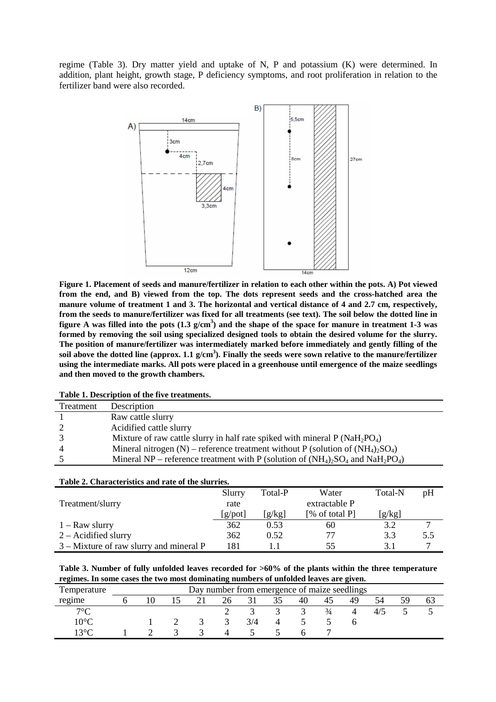regime (Table 3). Dry matter yield and uptake of N, P and potassium (K) were determined. In addition, plant height, growth stage, P deficiency symptoms, and root proliferation in relation to the fertilizer band were also recorded.



**Figure 1. Placement of seeds and manure/fertilizer in relation to each other within the pots. A) Pot viewed from the end, and B) viewed from the top. The dots represent seeds and the cross-hatched area the manure volume of treatment 1 and 3. The horizontal and vertical distance of 4 and 2.7 cm, respectively, from the seeds to manure/fertilizer was fixed for all treatments (see text). The soil below the dotted line in figure A was filled into the pots (1.3 g/cm<sup>3</sup> ) and the shape of the space for manure in treatment 1-3 was formed by removing the soil using specialized designed tools to obtain the desired volume for the slurry. The position of manure/fertilizer was intermediately marked before immediately and gently filling of the soil above the dotted line (approx. 1.1 g/cm<sup>3</sup> ). Finally the seeds were sown relative to the manure/fertilizer using the intermediate marks. All pots were placed in a greenhouse until emergence of the maize seedlings and then moved to the growth chambers.** 

|  |  |  |  | Table 1. Description of the five treatments. |
|--|--|--|--|----------------------------------------------|
|--|--|--|--|----------------------------------------------|

| Treatment | Description                                                                           |
|-----------|---------------------------------------------------------------------------------------|
|           | Raw cattle slurry                                                                     |
|           | Acidified cattle slurry                                                               |
|           | Mixture of raw cattle slurry in half rate spiked with mineral $P(NaH_2PO_4)$          |
|           | Mineral nitrogen (N) – reference treatment without P (solution of $(NH_4)_2SO_4$ )    |
|           | Mineral NP – reference treatment with P (solution of $(NH_4)_2SO_4$ and $NaH_2PO_4$ ) |
|           |                                                                                       |

| Table 2. Characteristics and rate of the slurries. |         |         |                |         |               |  |  |  |  |  |
|----------------------------------------------------|---------|---------|----------------|---------|---------------|--|--|--|--|--|
|                                                    | Slurry  | Total-P | Water          | Total-N | pH            |  |  |  |  |  |
| Treatment/slurry                                   | rate    |         | extractable P  |         |               |  |  |  |  |  |
|                                                    | [g/pot] | [g/kg]  | [% of total P] | [g/kg]  |               |  |  |  |  |  |
| $1 - Raw$ slurry                                   | 362     | 0.53    | 60             | 3.2     | $\mathcal{I}$ |  |  |  |  |  |
| $2 -$ Acidified slurry                             | 362     | 0.52    |                | 3.3     | 5.5           |  |  |  |  |  |
| $3$ – Mixture of raw slurry and mineral P          | 181     |         | 55             | 3.1     |               |  |  |  |  |  |

| Table 3. Number of fully unfolded leaves recorded for $>60\%$ of the plants within the three temperature |
|----------------------------------------------------------------------------------------------------------|
| regimes. In some cases the two most dominating numbers of unfolded leaves are given.                     |

| Temperature           | Day number from emergence of maize seedlings |  |  |  |     |     |  |    |          |    |        |  |    |
|-----------------------|----------------------------------------------|--|--|--|-----|-----|--|----|----------|----|--------|--|----|
| regime                |                                              |  |  |  | 26. |     |  | 40 | 40       | 49 | 54     |  | O. |
| $7^{\circ}C$          |                                              |  |  |  |     |     |  |    | $^{3/4}$ |    | $4/$ . |  |    |
| $10^{\circ}$ C        |                                              |  |  |  |     | 3/4 |  |    |          |    |        |  |    |
| । २ $^{\circ}$ $\cap$ |                                              |  |  |  |     |     |  |    |          |    |        |  |    |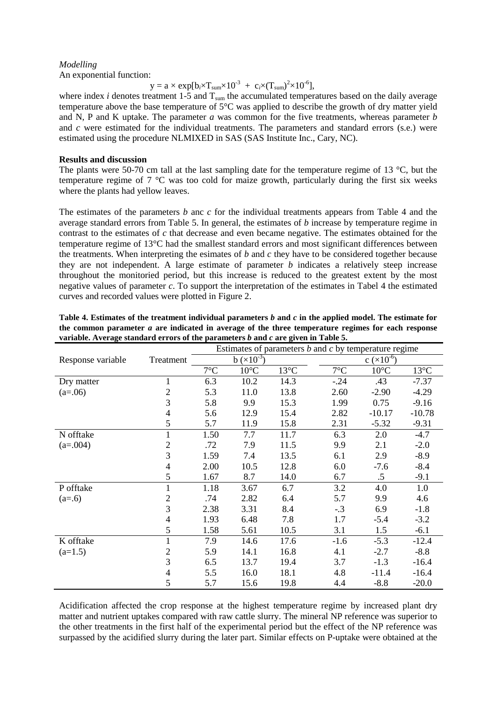## *Modelling*

An exponential function:

 $y = a \times \exp[b_i \times T_{sum} \times 10^{-3} + c_i \times (T_{sum})^2 \times 10^{-6}],$ 

where index *i* denotes treatment  $1-\overline{5}$  and  $T_{\text{sum}}$  the accumulated temperatures based on the daily average temperature above the base temperature of 5°C was applied to describe the growth of dry matter yield and N, P and K uptake. The parameter *a* was common for the five treatments, whereas parameter *b* and *c* were estimated for the individual treatments. The parameters and standard errors (s.e.) were estimated using the procedure NLMIXED in SAS (SAS Institute Inc., Cary, NC).

## **Results and discussion**

The plants were 50-70 cm tall at the last sampling date for the temperature regime of 13 °C, but the temperature regime of 7 °C was too cold for maize growth, particularly during the first six weeks where the plants had yellow leaves.

The estimates of the parameters *b* anc *c* for the individual treatments appears from Table 4 and the average standard errors from Table 5. In general, the estimates of *b* increase by temperature regime in contrast to the estimates of *c* that decrease and even became negative. The estimates obtained for the temperature regime of 13°C had the smallest standard errors and most significant differences between the treatments. When interpreting the esimates of *b* and *c* they have to be considered together because they are not independent. A large estimate of parameter *b* indicates a relatively steep increase throughout the monitoried period, but this increase is reduced to the greatest extent by the most negative values of parameter *c*. To support the interpretation of the estimates in Tabel 4 the estimated curves and recorded values were plotted in Figure 2.

|                   |                          | Estimates of parameters $b$ and $c$ by temperature regime |                |                |              |                 |                |  |
|-------------------|--------------------------|-----------------------------------------------------------|----------------|----------------|--------------|-----------------|----------------|--|
| Response variable | Treatment                |                                                           | $b (x10^{-3})$ |                |              | $c (x 10^{-6})$ |                |  |
|                   |                          | $7^{\circ}$ C                                             | $10^{\circ}$ C | $13^{\circ}$ C | $7^{\circ}C$ | $10^{\circ}$ C  | $13^{\circ}$ C |  |
| Dry matter        | 1                        | 6.3                                                       | 10.2           | 14.3           | $-.24$       | .43             | $-7.37$        |  |
| $(a=06)$          | $\overline{c}$           | 5.3                                                       | 11.0           | 13.8           | 2.60         | $-2.90$         | $-4.29$        |  |
|                   | 3                        | 5.8                                                       | 9.9            | 15.3           | 1.99         | 0.75            | $-9.16$        |  |
|                   | 4                        | 5.6                                                       | 12.9           | 15.4           | 2.82         | $-10.17$        | $-10.78$       |  |
|                   | 5                        | 5.7                                                       | 11.9           | 15.8           | 2.31         | $-5.32$         | $-9.31$        |  |
| N offtake         | 1                        | 1.50                                                      | 7.7            | 11.7           | 6.3          | 2.0             | $-4.7$         |  |
| $(a=.004)$        | $\overline{c}$           | .72                                                       | 7.9            | 11.5           | 9.9          | 2.1             | $-2.0$         |  |
|                   | 3                        | 1.59                                                      | 7.4            | 13.5           | 6.1          | 2.9             | $-8.9$         |  |
|                   | 4                        | 2.00                                                      | 10.5           | 12.8           | 6.0          | $-7.6$          | $-8.4$         |  |
|                   | 5                        | 1.67                                                      | 8.7            | 14.0           | 6.7          | $.5\,$          | $-9.1$         |  |
| P offtake         | $\mathbf{1}$             | 1.18                                                      | 3.67           | 6.7            | 3.2          | 4.0             | 1.0            |  |
| $(a=0.6)$         | 2                        | .74                                                       | 2.82           | 6.4            | 5.7          | 9.9             | 4.6            |  |
|                   | 3                        | 2.38                                                      | 3.31           | 8.4            | $-.3$        | 6.9             | $-1.8$         |  |
|                   | $\overline{4}$           | 1.93                                                      | 6.48           | 7.8            | 1.7          | $-5.4$          | $-3.2$         |  |
|                   | 5                        | 1.58                                                      | 5.61           | 10.5           | 3.1          | 1.5             | $-6.1$         |  |
| K offtake         | $\mathbf{1}$             | 7.9                                                       | 14.6           | 17.6           | $-1.6$       | $-5.3$          | $-12.4$        |  |
| $(a=1.5)$         | $\overline{c}$           | 5.9                                                       | 14.1           | 16.8           | 4.1          | $-2.7$          | $-8.8$         |  |
|                   | 3                        | 6.5                                                       | 13.7           | 19.4           | 3.7          | $-1.3$          | $-16.4$        |  |
|                   | $\overline{\mathcal{A}}$ | 5.5                                                       | 16.0           | 18.1           | 4.8          | $-11.4$         | $-16.4$        |  |
|                   | 5                        | 5.7                                                       | 15.6           | 19.8           | 4.4          | $-8.8$          | $-20.0$        |  |

**Table 4. Estimates of the treatment individual parameters** *b* **and** *c* **in the applied model. The estimate for the common parameter** *a* **are indicated in average of the three temperature regimes for each response variable. Average standard errors of the parameters** *b* **and** *c* **are given in Table 5.** 

Acidification affected the crop response at the highest temperature regime by increased plant dry matter and nutrient uptakes compared with raw cattle slurry. The mineral NP reference was superior to the other treatments in the first half of the experimental period but the effect of the NP reference was surpassed by the acidified slurry during the later part. Similar effects on P-uptake were obtained at the